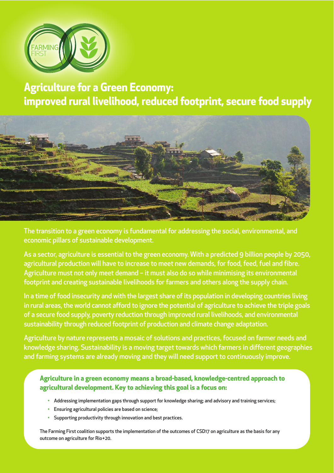

**Agriculture for a Green Economy: improved rural livelihood, reduced footprint, secure food supply**



The transition to a green economy is fundamental for addressing the social, environmental, and economic pillars of sustainable development.

As a sector, agriculture is essential to the green economy. With a predicted 9 billion people by 2050, agricultural production will have to increase to meet new demands, for food, feed, fuel and fibre. Agriculture must not only meet demand – it must also do so while minimising its environmental footprint and creating sustainable livelihoods for farmers and others along the supply chain.

In a time of food insecurity and with the largest share of its population in developing countries living in rural areas, the world cannot afford to ignore the potential of agriculture to achieve the triple goals of a secure food supply, poverty reduction through improved rural livelihoods, and environmental sustainability through reduced footprint of production and climate change adaptation.

Agriculture by nature represents a mosaic of solutions and practices, focused on farmer needs and knowledge sharing. Sustainability is a moving target towards which farmers in different geographies and farming systems are already moving and they will need support to continuously improve.

**Agriculture in a green economy means a broad-based, knowledge-centred approach to agricultural development. Key to achieving this goal is a focus on:**

- Addressing implementation gaps through support for knowledge sharing; and advisory and training services;
- Ensuring agricultural policies are based on science;
- Supporting productivity through innovation and best practices.

The Farming First coalition supports the implementation of the outcomes of CSD17 on agriculture as the basis for any outcome on agriculture for Rio+20.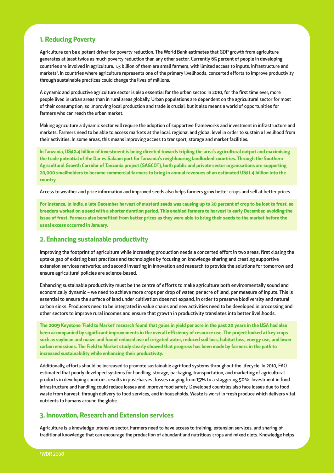# **1. Reducing Poverty**

Agriculture can be a potent driver for poverty reduction. The World Bank estimates that GDP growth from agriculture generates at least twice as much poverty reduction than any other sector. Currently 65 percent of people in developing countries are involved in agriculture. 1.3 billion of them are small farmers, with limited access to inputs, infrastructure and markets<sup>1</sup>. In countries where agriculture represents one of the primary livelihoods, concerted efforts to improve productivity through sustainable practices could change the lives of millions.

A dynamic and productive agriculture sector is also essential for the urban sector. In 2010, for the first time ever, more people lived in urban areas than in rural areas globally. Urban populations are dependent on the agricultural sector for most of their consumption, so improving local production and trade is crucial; but it also means a world of opportunities for farmers who can reach the urban market.

Making agriculture a dynamic sector will require the adoption of supportive frameworks and investment in infrastructure and markets. Farmers need to be able to access markets at the local, regional and global level in order to sustain a livelihood from their activities. In some areas, this means improving access to transport, storage and market facilities.

In Tanzania, US\$2.4 billion of investment is being directed towards tripling the area's agricultural output and maximising the trade potential of the Dar es Salaam port for Tanzania's neighbouring landlocked countries. Through the Southern **Agricultural Growth Corridor of Tanzania project (SAGCOT), both public and private sector organisations are supporting** 20,000 smallholders to become commercial farmers to bring in annual revenues of an estimated US\$1.4 billion into the **country.**

Access to weather and price information and improved seeds also helps farmers grow better crops and sell at better prices.

For instance, in India, a late December harvest of mustard seeds was causing up to 30 percent of crop to be lost to frost, so breeders worked on a seed with a shorter duration period. This enabled farmers to harvest in early December, avoiding the issue of frost. Farmers also benefited from better prices as they were able to bring their seeds to the market before the **usual excess occurred in January.**

## **2. Enhancing sustainable productivity**

Improving the footprint of agriculture while increasing production needs a concerted effort in two areas: first closing the uptake gap of existing best practices and technologies by focusing on knowledge sharing and creating supportive extension services networks; and second investing in innovation and research to provide the solutions for tomorrow and ensure agricultural policies are science-based.

Enhancing sustainable productivity must be the centre of efforts to make agriculture both environmentally sound and economically dynamic – we need to achieve more crops per drop of water, per acre of land, per measure of inputs. This is essential to ensure the surface of land under cultivation does not expand, in order to preserve biodiversity and natural carbon sinks. Producers need to be integrated in value chains and new activities need to be developed in processing and other sectors to improve rural incomes and ensure that growth in productivity translates into better livelihoods.

The 2009 Keystone 'Field to Market' research found that gains in yield per acre in the past 20 years in the USA had also been accompanied by significant improvements in the overall efficiency of resource use. The project looked at key crops such as soybean and maize and found reduced use of irrigated water, reduced soil loss, habitat loss, energy use, and lower carbon emissions. The Field to Market study clearly showed that progress has been made by farmers in the path to **increased sustainability while enhancing their productivity.**

Additionally, efforts should be increased to promote sustainable agri-food systems throughout the lifecycle. In 2010, FAO estimated that poorly developed systems for handling, storage, packaging, transportation, and marketing of agricultural products in developing countries results in post-harvest losses ranging from 15% to a staggering 50%. Investment in food infrastructure and handling could reduce losses and improve food safety. Developed countries also face losses due to food waste from harvest, through delivery to food services, and in households. Waste is worst in fresh produce which delivers vital nutrients to humans around the globe.

## **3. Innovation, Research and Extension services**

Agriculture is a knowledge-intensive sector. Farmers need to have access to training, extension services, and sharing of traditional knowledge that can encourage the production of abundant and nutritious crops and mixed diets. Knowledge helps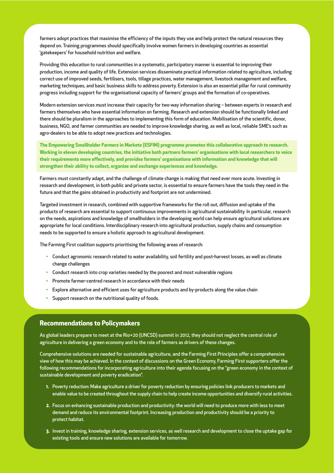farmers adopt practices that maximise the efficiency of the inputs they use and help protect the natural resources they depend on. Training programmes should specifically involve women farmers in developing countries as essential 'gatekeepers' for household nutrition and welfare.

Providing this education to rural communities in a systematic, participatory manner is essential to improving their production, income and quality of life. Extension services disseminate practical information related to agriculture, including correct use of improved seeds, fertilisers, tools, tillage practices, water management, livestock management and welfare, marketing techniques, and basic business skills to address poverty. Extension is also an essential pillar for rural community progress including support for the organisational capacity of farmers' groups and the formation of co-operatives.

Modern extension services must increase their capacity for two-way information sharing – between experts in research and farmers themselves who have essential information on farming. Research and extension should be functionally linked and there should be pluralism in the approaches to implementing this form of education. Mobilisation of the scientific, donor, business, NGO, and farmer communities are needed to improve knowledge sharing, as well as local, reliable SME's such as agro-dealers to be able to adopt new practices and technologies.

**The Empowering Smallholder Farmers in Markets (ESFIM) programme promotes this collaborative approach to research.** Working in eleven developing countries, the initiative both partners farmers' organisations with local researchers to voice **their requirements more effectively, and provides farmers' organisations with information and knowledge that will strengthen their ability to collect, organise and exchange experiences and knowledge.**

Farmers must constantly adapt, and the challenge of climate change is making that need ever more acute. Investing in research and development, in both public and private sector, is essential to ensure farmers have the tools they need in the future and that the gains obtained in productivity and footprint are not undermined.

Targeted investment in research, combined with supportive frameworks for the roll out, diffusion and uptake of the products of research are essential to support continuous improvements in agricultural sustainability. In particular, research on the needs, aspirations and knowledge of smallholders in the developing world can help ensure agricultural solutions are appropriate for local conditions. Interdisciplinary research into agricultural production, supply chains and consumption needs to be supported to ensure a holistic approach to agricultural development.

The Farming First coalition supports prioritising the following areas of research:

- Conduct agronomic research related to water availability, soil fertility and post-harvest losses, as well as climate change challenges
- Conduct research into crop varieties needed by the poorest and most vulnerable regions
- Promote farmer-centred research in accordance with their needs
- Explore alternative and efficient uses for agriculture products and by-products along the value chain
- Support research on the nutritional quality of foods.

#### **Recommendations to Policymakers**

As global leaders prepare to meet at the Rio+20 (UNCSD) summit in 2012, they should not neglect the central role of agriculture in delivering a green economy and to the role of farmers as drivers of these changes.

Comprehensive solutions are needed for sustainable agriculture, and the Farming First Principles offer a comprehensive view of how this may be achieved. In the context of discussions on the Green Economy, Farming First supporters offer the following recommendations for incorporating agriculture into their agenda focusing on the "green economy in the context of sustainable development and poverty eradication".

- **1.** Poverty reduction: Make agriculture a driver for poverty reduction by ensuring policies link producers to markets and enable value to be created throughout the supply chain to help create income opportunities and diversify rural activities.
- **2.** Focus on enhancing sustainable production and productivity: the world will need to produce more with less to meet demand and reduce its environmental footprint. Increasing production and productivity should be a priority to protect habitat.
- **3.** Invest in training, knowledge sharing, extension services, as well research and development to close the uptake gap for existing tools and ensure new solutions are available for tomorrow.